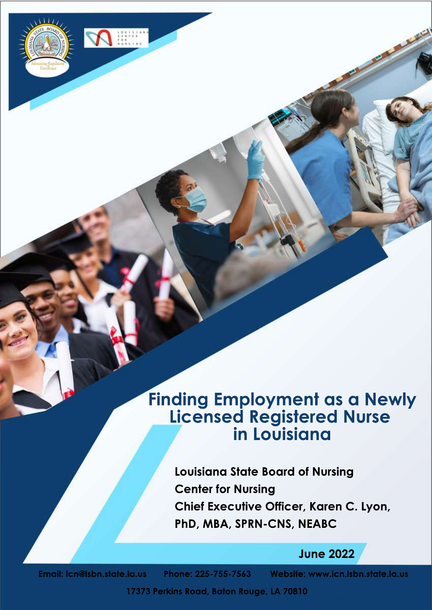# **Finding Employment as a Newly Licensed Registered Nurse inLouisiana**

**Louisiana State Board of Nursing Center for Nursing Chief Executive Officer, Karen C. Lyon,** PhD, MBA, SPRN-CNS, NEABC

**June2022**

**Email:lcn@lsbn.state.la.us Phone:225-755-7563 Website:www.lcn.lsbn.state.la.us**

William

**17373 Perkins Road, Baton Rouge, LA 70810**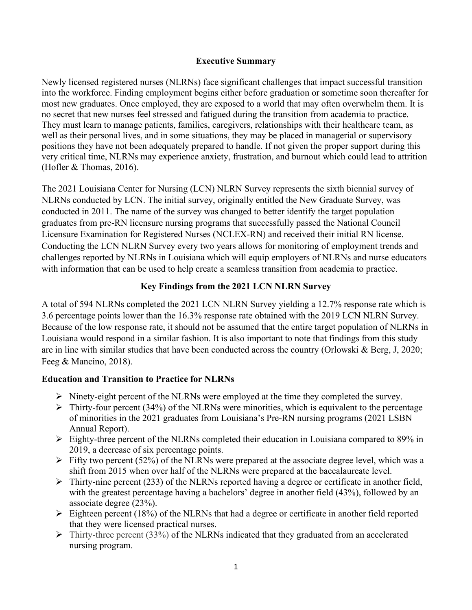#### **Executive Summary**

Newly licensed registered nurses (NLRNs) face significant challenges that impact successful transition into the workforce. Finding employment begins either before graduation or sometime soon thereafter for most new graduates. Once employed, they are exposed to a world that may often overwhelm them. It is no secret that new nurses feel stressed and fatigued during the transition from academia to practice. They must learn to manage patients, families, caregivers, relationships with their healthcare team, as well as their personal lives, and in some situations, they may be placed in managerial or supervisory positions they have not been adequately prepared to handle. If not given the proper support during this very critical time, NLRNs may experience anxiety, frustration, and burnout which could lead to attrition (Hofler & Thomas, 2016).

The 2021 Louisiana Center for Nursing (LCN) NLRN Survey represents the sixth biennial survey of NLRNs conducted by LCN. The initial survey, originally entitled the New Graduate Survey, was conducted in 2011. The name of the survey was changed to better identify the target population – graduates from pre-RN licensure nursing programs that successfully passed the National Council Licensure Examination for Registered Nurses (NCLEX-RN) and received their initial RN license. Conducting the LCN NLRN Survey every two years allows for monitoring of employment trends and challenges reported by NLRNs in Louisiana which will equip employers of NLRNs and nurse educators with information that can be used to help create a seamless transition from academia to practice.

## **Key Findings from the 2021 LCN NLRN Survey**

A total of 594 NLRNs completed the 2021 LCN NLRN Survey yielding a 12.7% response rate which is 3.6 percentage points lower than the 16.3% response rate obtained with the 2019 LCN NLRN Survey. Because of the low response rate, it should not be assumed that the entire target population of NLRNs in Louisiana would respond in a similar fashion. It is also important to note that findings from this study are in line with similar studies that have been conducted across the country (Orlowski & Berg, J, 2020; Feeg & Mancino, 2018).

#### **Education and Transition to Practice for NLRNs**

- $\triangleright$  Ninety-eight percent of the NLRNs were employed at the time they completed the survey.
- $\triangleright$  Thirty-four percent (34%) of the NLRNs were minorities, which is equivalent to the percentage of minorities in the 2021 graduates from Louisiana's Pre-RN nursing programs (2021 LSBN Annual Report).
- $\triangleright$  Eighty-three percent of the NLRNs completed their education in Louisiana compared to 89% in 2019, a decrease of six percentage points.
- $\triangleright$  Fifty two percent (52%) of the NLRNs were prepared at the associate degree level, which was a shift from 2015 when over half of the NLRNs were prepared at the baccalaureate level.
- $\triangleright$  Thirty-nine percent (233) of the NLRNs reported having a degree or certificate in another field, with the greatest percentage having a bachelors' degree in another field (43%), followed by an associate degree (23%).
- $\triangleright$  Eighteen percent (18%) of the NLRNs that had a degree or certificate in another field reported that they were licensed practical nurses.
- $\triangleright$  Thirty-three percent (33%) of the NLRNs indicated that they graduated from an accelerated nursing program.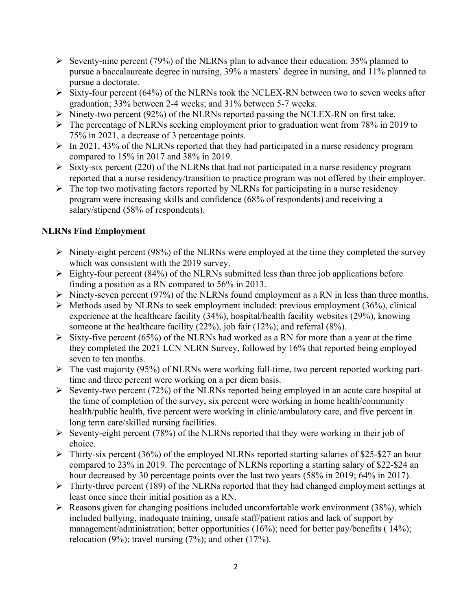- Seventy-nine percent (79%) of the NLRNs plan to advance their education:  $35\%$  planned to pursue a baccalaureate degree in nursing, 39% a masters' degree in nursing, and 11% planned to pursue a doctorate.
- $\triangleright$  Sixty-four percent (64%) of the NLRNs took the NCLEX-RN between two to seven weeks after graduation; 33% between 2-4 weeks; and 31% between 5-7 weeks.
- $\triangleright$  Ninety-two percent (92%) of the NLRNs reported passing the NCLEX-RN on first take.
- $\triangleright$  The percentage of NLRNs seeking employment prior to graduation went from 78% in 2019 to 75% in 2021, a decrease of 3 percentage points.
- $\triangleright$  In 2021, 43% of the NLRNs reported that they had participated in a nurse residency program compared to 15% in 2017 and 38% in 2019.
- $\triangleright$  Sixty-six percent (220) of the NLRNs that had not participated in a nurse residency program reported that a nurse residency/transition to practice program was not offered by their employer.
- $\triangleright$  The top two motivating factors reported by NLRNs for participating in a nurse residency program were increasing skills and confidence (68% of respondents) and receiving a salary/stipend (58% of respondents).

## **NLRNs Find Employment**

- $\triangleright$  Ninety-eight percent (98%) of the NLRNs were employed at the time they completed the survey which was consistent with the 2019 survey.
- $\triangleright$  Eighty-four percent (84%) of the NLRNs submitted less than three job applications before finding a position as a RN compared to 56% in 2013.
- $\triangleright$  Ninety-seven percent (97%) of the NLRNs found employment as a RN in less than three months.
- $\triangleright$  Methods used by NLRNs to seek employment included: previous employment (36%), clinical experience at the healthcare facility (34%), hospital/health facility websites (29%), knowing someone at the healthcare facility (22%), job fair (12%); and referral (8%).
- $\triangleright$  Sixty-five percent (65%) of the NLRNs had worked as a RN for more than a year at the time they completed the 2021 LCN NLRN Survey, followed by 16% that reported being employed seven to ten months.
- $\triangleright$  The vast majority (95%) of NLRNs were working full-time, two percent reported working parttime and three percent were working on a per diem basis.
- $\triangleright$  Seventy-two percent (72%) of the NLRNs reported being employed in an acute care hospital at the time of completion of the survey, six percent were working in home health/community health/public health, five percent were working in clinic/ambulatory care, and five percent in long term care/skilled nursing facilities.
- Seventy-eight percent (78%) of the NLRNs reported that they were working in their job of choice.
- $\triangleright$  Thirty-six percent (36%) of the employed NLRNs reported starting salaries of \$25-\$27 an hour compared to 23% in 2019. The percentage of NLRNs reporting a starting salary of \$22-\$24 an hour decreased by 30 percentage points over the last two years (58% in 2019; 64% in 2017).
- $\triangleright$  Thirty-three percent (189) of the NLRNs reported that they had changed employment settings at least once since their initial position as a RN.
- $\triangleright$  Reasons given for changing positions included uncomfortable work environment (38%), which included bullying, inadequate training, unsafe staff/patient ratios and lack of support by management/administration; better opportunities (16%); need for better pay/benefits ( 14%); relocation  $(9\%)$ ; travel nursing  $(7\%)$ ; and other  $(17\%)$ .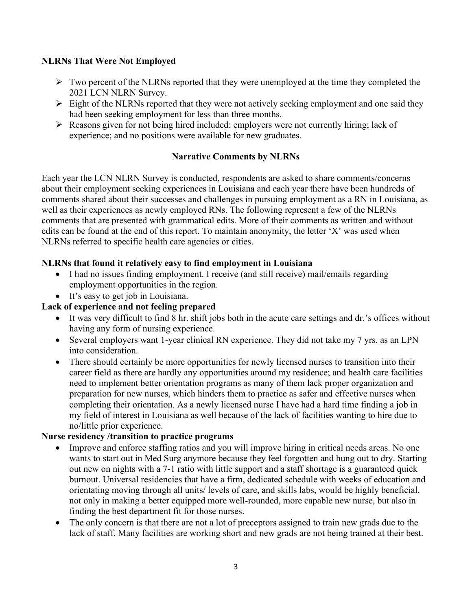## **NLRNs That Were Not Employed**

- $\triangleright$  Two percent of the NLRNs reported that they were unemployed at the time they completed the 2021 LCN NLRN Survey.
- $\triangleright$  Eight of the NLRNs reported that they were not actively seeking employment and one said they had been seeking employment for less than three months.
- $\triangleright$  Reasons given for not being hired included: employers were not currently hiring; lack of experience; and no positions were available for new graduates.

## **Narrative Comments by NLRNs**

Each year the LCN NLRN Survey is conducted, respondents are asked to share comments/concerns about their employment seeking experiences in Louisiana and each year there have been hundreds of comments shared about their successes and challenges in pursuing employment as a RN in Louisiana, as well as their experiences as newly employed RNs. The following represent a few of the NLRNs comments that are presented with grammatical edits. More of their comments as written and without edits can be found at the end of this report. To maintain anonymity, the letter 'X' was used when NLRNs referred to specific health care agencies or cities.

## **NLRNs that found it relatively easy to find employment in Louisiana**

- I had no issues finding employment. I receive (and still receive) mail/emails regarding employment opportunities in the region.
- It's easy to get job in Louisiana.

# **Lack of experience and not feeling prepared**

- It was very difficult to find 8 hr. shift jobs both in the acute care settings and dr.'s offices without having any form of nursing experience.
- Several employers want 1-year clinical RN experience. They did not take my 7 yrs. as an LPN into consideration.
- There should certainly be more opportunities for newly licensed nurses to transition into their career field as there are hardly any opportunities around my residence; and health care facilities need to implement better orientation programs as many of them lack proper organization and preparation for new nurses, which hinders them to practice as safer and effective nurses when completing their orientation. As a newly licensed nurse I have had a hard time finding a job in my field of interest in Louisiana as well because of the lack of facilities wanting to hire due to no/little prior experience.

#### **Nurse residency /transition to practice programs**

- Improve and enforce staffing ratios and you will improve hiring in critical needs areas. No one wants to start out in Med Surg anymore because they feel forgotten and hung out to dry. Starting out new on nights with a 7-1 ratio with little support and a staff shortage is a guaranteed quick burnout. Universal residencies that have a firm, dedicated schedule with weeks of education and orientating moving through all units/ levels of care, and skills labs, would be highly beneficial, not only in making a better equipped more well-rounded, more capable new nurse, but also in finding the best department fit for those nurses.
- The only concern is that there are not a lot of preceptors assigned to train new grads due to the lack of staff. Many facilities are working short and new grads are not being trained at their best.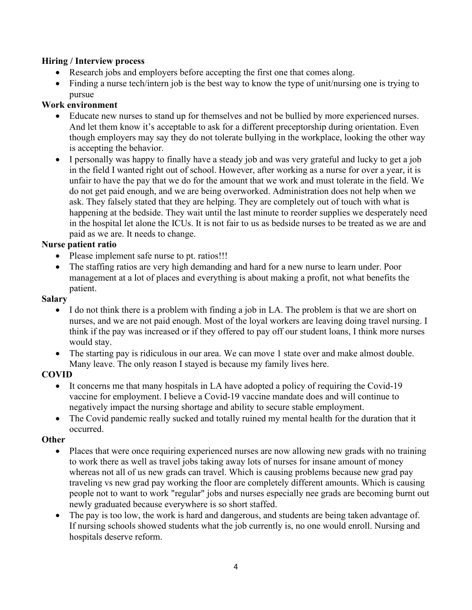#### **Hiring / Interview process**

- Research jobs and employers before accepting the first one that comes along.
- Finding a nurse tech/intern job is the best way to know the type of unit/nursing one is trying to pursue

#### **Work environment**

- Educate new nurses to stand up for themselves and not be bullied by more experienced nurses. And let them know it's acceptable to ask for a different preceptorship during orientation. Even though employers may say they do not tolerate bullying in the workplace, looking the other way is accepting the behavior.
- I personally was happy to finally have a steady job and was very grateful and lucky to get a job in the field I wanted right out of school. However, after working as a nurse for over a year, it is unfair to have the pay that we do for the amount that we work and must tolerate in the field. We do not get paid enough, and we are being overworked. Administration does not help when we ask. They falsely stated that they are helping. They are completely out of touch with what is happening at the bedside. They wait until the last minute to reorder supplies we desperately need in the hospital let alone the ICUs. It is not fair to us as bedside nurses to be treated as we are and paid as we are. It needs to change.

#### **Nurse patient ratio**

- Please implement safe nurse to pt. ratios!!!
- The staffing ratios are very high demanding and hard for a new nurse to learn under. Poor management at a lot of places and everything is about making a profit, not what benefits the patient.

#### **Salary**

- I do not think there is a problem with finding a job in LA. The problem is that we are short on nurses, and we are not paid enough. Most of the loyal workers are leaving doing travel nursing. I think if the pay was increased or if they offered to pay off our student loans, I think more nurses would stay.
- The starting pay is ridiculous in our area. We can move 1 state over and make almost double. Many leave. The only reason I stayed is because my family lives here.

#### **COVID**

- It concerns me that many hospitals in LA have adopted a policy of requiring the Covid-19 vaccine for employment. I believe a Covid-19 vaccine mandate does and will continue to negatively impact the nursing shortage and ability to secure stable employment.
- The Covid pandemic really sucked and totally ruined my mental health for the duration that it occurred.

#### **Other**

- Places that were once requiring experienced nurses are now allowing new grads with no training to work there as well as travel jobs taking away lots of nurses for insane amount of money whereas not all of us new grads can travel. Which is causing problems because new grad pay traveling vs new grad pay working the floor are completely different amounts. Which is causing people not to want to work "regular" jobs and nurses especially nee grads are becoming burnt out newly graduated because everywhere is so short staffed.
- The pay is too low, the work is hard and dangerous, and students are being taken advantage of. If nursing schools showed students what the job currently is, no one would enroll. Nursing and hospitals deserve reform.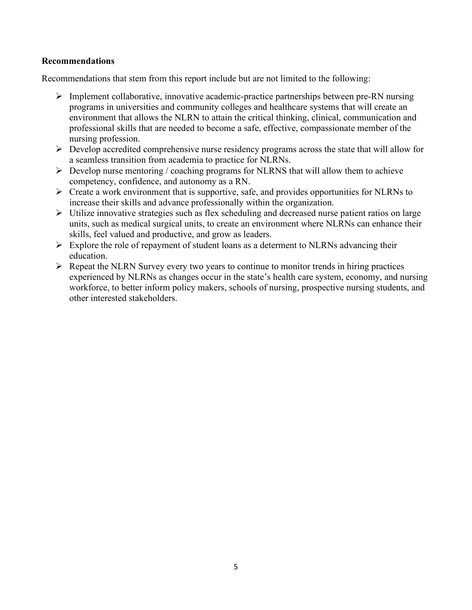#### **Recommendations**

Recommendations that stem from this report include but are not limited to the following:

- $\triangleright$  Implement collaborative, innovative academic-practice partnerships between pre-RN nursing programs in universities and community colleges and healthcare systems that will create an environment that allows the NLRN to attain the critical thinking, clinical, communication and professional skills that are needed to become a safe, effective, compassionate member of the nursing profession.
- $\triangleright$  Develop accredited comprehensive nurse residency programs across the state that will allow for a seamless transition from academia to practice for NLRNs.
- $\triangleright$  Develop nurse mentoring / coaching programs for NLRNS that will allow them to achieve competency, confidence, and autonomy as a RN.
- $\triangleright$  Create a work environment that is supportive, safe, and provides opportunities for NLRNs to increase their skills and advance professionally within the organization.
- $\triangleright$  Utilize innovative strategies such as flex scheduling and decreased nurse patient ratios on large units, such as medical surgical units, to create an environment where NLRNs can enhance their skills, feel valued and productive, and grow as leaders.
- $\triangleright$  Explore the role of repayment of student loans as a determent to NLRNs advancing their education.
- $\triangleright$  Repeat the NLRN Survey every two years to continue to monitor trends in hiring practices experienced by NLRNs as changes occur in the state's health care system, economy, and nursing workforce, to better inform policy makers, schools of nursing, prospective nursing students, and other interested stakeholders.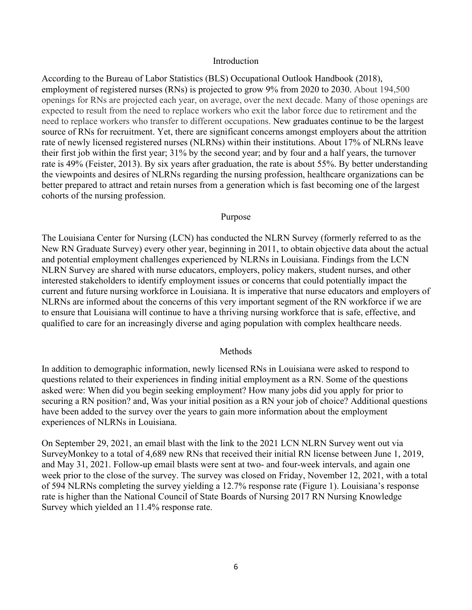#### Introduction

According to the Bureau of Labor Statistics (BLS) Occupational Outlook Handbook (2018), employment of registered nurses (RNs) is projected to grow 9% from 2020 to 2030. About 194,500 openings for RNs are projected each year, on average, over the next decade. Many of those openings are expected to result from the need to replace workers who exit the labor force due to retirement and the need to replace workers who transfer to different occupations. New graduates continue to be the largest source of RNs for recruitment. Yet, there are significant concerns amongst employers about the attrition rate of newly licensed registered nurses (NLRNs) within their institutions. About 17% of NLRNs leave their first job within the first year; 31% by the second year; and by four and a half years, the turnover rate is 49% (Feister, 2013). By six years after graduation, the rate is about 55%. By better understanding the viewpoints and desires of NLRNs regarding the nursing profession, healthcare organizations can be better prepared to attract and retain nurses from a generation which is fast becoming one of the largest cohorts of the nursing profession.

#### Purpose

The Louisiana Center for Nursing (LCN) has conducted the NLRN Survey (formerly referred to as the New RN Graduate Survey) every other year, beginning in 2011, to obtain objective data about the actual and potential employment challenges experienced by NLRNs in Louisiana. Findings from the LCN NLRN Survey are shared with nurse educators, employers, policy makers, student nurses, and other interested stakeholders to identify employment issues or concerns that could potentially impact the current and future nursing workforce in Louisiana. It is imperative that nurse educators and employers of NLRNs are informed about the concerns of this very important segment of the RN workforce if we are to ensure that Louisiana will continue to have a thriving nursing workforce that is safe, effective, and qualified to care for an increasingly diverse and aging population with complex healthcare needs.

#### Methods

In addition to demographic information, newly licensed RNs in Louisiana were asked to respond to questions related to their experiences in finding initial employment as a RN. Some of the questions asked were: When did you begin seeking employment? How many jobs did you apply for prior to securing a RN position? and, Was your initial position as a RN your job of choice? Additional questions have been added to the survey over the years to gain more information about the employment experiences of NLRNs in Louisiana.

On September 29, 2021, an email blast with the link to the 2021 LCN NLRN Survey went out via SurveyMonkey to a total of 4,689 new RNs that received their initial RN license between June 1, 2019, and May 31, 2021. Follow-up email blasts were sent at two- and four-week intervals, and again one week prior to the close of the survey. The survey was closed on Friday, November 12, 2021, with a total of 594 NLRNs completing the survey yielding a 12.7% response rate (Figure 1). Louisiana's response rate is higher than the National Council of State Boards of Nursing 2017 RN Nursing Knowledge Survey which yielded an 11.4% response rate.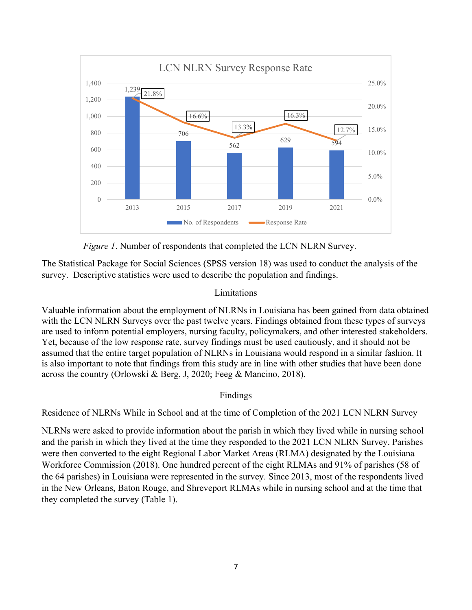

 *Figure 1*. Number of respondents that completed the LCN NLRN Survey.

The Statistical Package for Social Sciences (SPSS version 18) was used to conduct the analysis of the survey. Descriptive statistics were used to describe the population and findings.

#### Limitations

Valuable information about the employment of NLRNs in Louisiana has been gained from data obtained with the LCN NLRN Surveys over the past twelve years. Findings obtained from these types of surveys are used to inform potential employers, nursing faculty, policymakers, and other interested stakeholders. Yet, because of the low response rate, survey findings must be used cautiously, and it should not be assumed that the entire target population of NLRNs in Louisiana would respond in a similar fashion. It is also important to note that findings from this study are in line with other studies that have been done across the country (Orlowski & Berg, J, 2020; Feeg & Mancino, 2018).

#### Findings

Residence of NLRNs While in School and at the time of Completion of the 2021 LCN NLRN Survey

NLRNs were asked to provide information about the parish in which they lived while in nursing school and the parish in which they lived at the time they responded to the 2021 LCN NLRN Survey. Parishes were then converted to the eight Regional Labor Market Areas (RLMA) designated by the Louisiana Workforce Commission (2018). One hundred percent of the eight RLMAs and 91% of parishes (58 of the 64 parishes) in Louisiana were represented in the survey. Since 2013, most of the respondents lived in the New Orleans, Baton Rouge, and Shreveport RLMAs while in nursing school and at the time that they completed the survey (Table 1).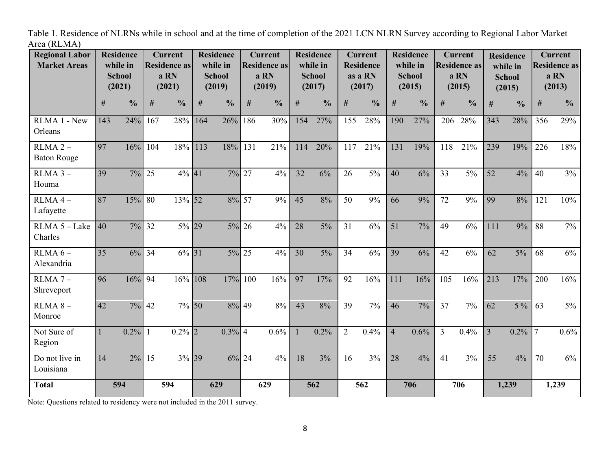Table 1. Residence of NLRNs while in school and at the time of completion of the 2021 LCN NLRN Survey according to Regional Labor Market Area (RLMA)

| <b>Regional Labor</b><br><b>Market Areas</b> | <b>Residence</b><br>while in<br><b>School</b><br>(2021) |               | <b>Current</b><br><b>Residence as</b><br>a RN<br>(2021) |               | <b>Residence</b><br>while in<br><b>School</b><br>(2019) |               | <b>Current</b><br><b>Residence as</b><br>a RN<br>(2019) |               | <b>Residence</b><br>while in<br><b>School</b><br>(2017) |               | <b>Current</b><br><b>Residence</b><br>as a RN<br>(2017) |               | <b>Residence</b><br>while in<br><b>School</b><br>(2015) |               | <b>Current</b><br><b>Residence as</b><br>a RN<br>(2015) |               | <b>Residence</b><br>while in<br><b>School</b><br>(2015) |               | <b>Current</b><br><b>Residence as</b><br>a RN<br>(2013) |                |
|----------------------------------------------|---------------------------------------------------------|---------------|---------------------------------------------------------|---------------|---------------------------------------------------------|---------------|---------------------------------------------------------|---------------|---------------------------------------------------------|---------------|---------------------------------------------------------|---------------|---------------------------------------------------------|---------------|---------------------------------------------------------|---------------|---------------------------------------------------------|---------------|---------------------------------------------------------|----------------|
|                                              | #                                                       | $\frac{0}{0}$ | #                                                       | $\frac{0}{0}$ | $\#$                                                    | $\frac{0}{0}$ | $\#$                                                    | $\frac{0}{0}$ | #                                                       | $\frac{0}{0}$ | #                                                       | $\frac{0}{0}$ | $\#$                                                    | $\frac{0}{0}$ | #                                                       | $\frac{0}{0}$ | #                                                       | $\frac{0}{0}$ | #                                                       | $\frac{6}{10}$ |
| RLMA 1 - New<br>Orleans                      | 143                                                     | 24%           | 167                                                     | 28%           | 164                                                     | 26%           | 186                                                     | 30%           | 154                                                     | 27%           | 155                                                     | 28%           | 190                                                     | 27%           | 206                                                     | 28%           | 343                                                     | 28%           | 356                                                     | 29%            |
| $RLMA$ 2 $-$<br><b>Baton Rouge</b>           | 97                                                      | 16%           | 104                                                     | 18%           | 113                                                     | 18%           | 131                                                     | 21%           | 114                                                     | 20%           | 117                                                     | 21%           | 131                                                     | 19%           | 118                                                     | 21%           | 239                                                     | 19%           | 226                                                     | 18%            |
| $RLMA$ 3 -<br>Houma                          | 39                                                      | $7\%$         | 25                                                      | $4\%$ 41      |                                                         | $7\%$ 27      |                                                         | 4%            | $\overline{32}$                                         | 6%            | 26                                                      | $5\%$         | 40                                                      | 6%            | 33                                                      | $5\%$         | $\overline{52}$                                         | 4%            | 40                                                      | 3%             |
| $RLMA$ 4 -<br>Lafayette                      | 87                                                      | 15%           | 80                                                      | 13% 52        |                                                         | 8% 57         |                                                         | 9%            | 45                                                      | 8%            | 50                                                      | 9%            | 66                                                      | 9%            | 72                                                      | 9%            | 99                                                      | 8%            | 121                                                     | 10%            |
| RLMA 5 - Lake<br>Charles                     | 40                                                      | 7%            | 32                                                      | 5% 29         |                                                         | $5\%$ 26      |                                                         | 4%            | 28                                                      | 5%            | 31                                                      | 6%            | 51                                                      | 7%            | 49                                                      | 6%            | 111                                                     | 9%            | 88                                                      | 7%             |
| $RLMA 6 -$<br>Alexandria                     | 35                                                      | 6%            | 34                                                      | 6% 31         |                                                         | 5% 25         |                                                         | 4%            | 30                                                      | 5%            | 34                                                      | 6%            | 39                                                      | 6%            | 42                                                      | 6%            | 62                                                      | $5\%$         | 68                                                      | 6%             |
| $RLMA$ 7 -<br>Shreveport                     | 96                                                      | 16%           | 94                                                      | 16% 108       |                                                         | 17%           | 100                                                     | 16%           | 97                                                      | 17%           | 92                                                      | 16%           | 111                                                     | 16%           | 105                                                     | 16%           | 213                                                     | 17%           | 200                                                     | 16%            |
| $RLMA 8 -$<br>Monroe                         | 42                                                      | $7\%$         | 42                                                      | 7% 50         |                                                         | 8% 49         |                                                         | 8%            | 43                                                      | 8%            | 39                                                      | 7%            | 46                                                      | 7%            | 37                                                      | 7%            | 62                                                      | $5\%$         | 63                                                      | $5\%$          |
| Not Sure of<br>Region                        |                                                         | $0.2\%$       |                                                         | $0.2\%$ 2     |                                                         | $0.3\%$ 4     |                                                         | 0.6%          | $\mathbf{1}$                                            | 0.2%          | $\overline{2}$                                          | 0.4%          | $\overline{4}$                                          | 0.6%          | $\overline{3}$                                          | 0.4%          | $\overline{3}$                                          | 0.2%          | $\overline{7}$                                          | 0.6%           |
| Do not live in<br>Louisiana                  | 14                                                      | $2\%$         | 15                                                      | 3% 39         |                                                         | $6\%$ 24      |                                                         | 4%            | 18                                                      | 3%            | 16                                                      | 3%            | 28                                                      | 4%            | 41                                                      | 3%            | 55                                                      | 4%            | 70                                                      | 6%             |
| <b>Total</b>                                 | 594                                                     |               | 594                                                     |               | 629                                                     |               | 629                                                     |               | 562                                                     |               | 562                                                     |               | 706                                                     |               | 706                                                     |               | 1,239                                                   |               | 1,239                                                   |                |

Note: Questions related to residency were not included in the 2011 survey.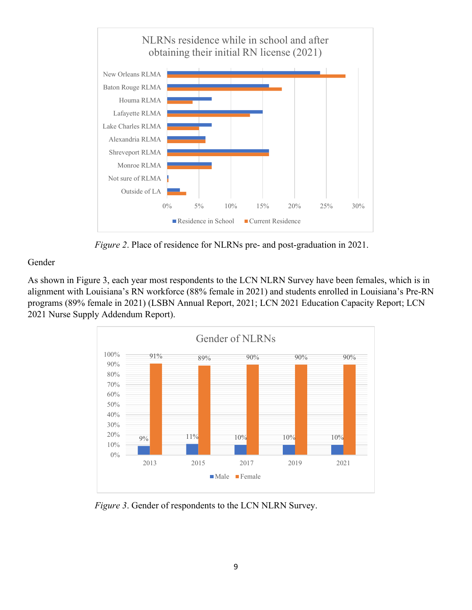

*Figure 2*. Place of residence for NLRNs pre- and post-graduation in 2021.

#### Gender

As shown in Figure 3, each year most respondents to the LCN NLRN Survey have been females, which is in alignment with Louisiana's RN workforce (88% female in 2021) and students enrolled in Louisiana's Pre-RN programs (89% female in 2021) (LSBN Annual Report, 2021; LCN 2021 Education Capacity Report; LCN 2021 Nurse Supply Addendum Report).



*Figure 3*. Gender of respondents to the LCN NLRN Survey.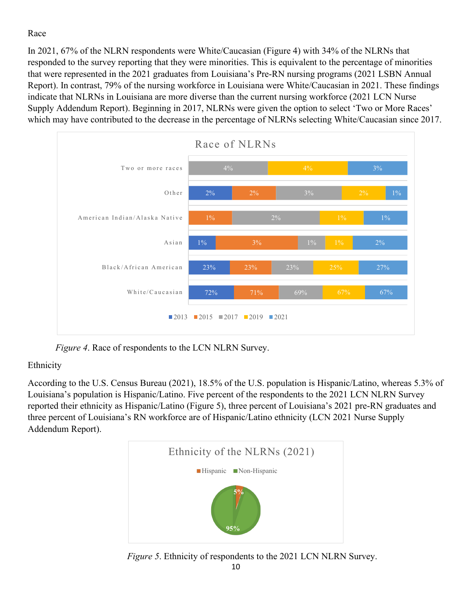# Race

In 2021, 67% of the NLRN respondents were White/Caucasian (Figure 4) with 34% of the NLRNs that responded to the survey reporting that they were minorities. This is equivalent to the percentage of minorities that were represented in the 2021 graduates from Louisiana's Pre-RN nursing programs (2021 LSBN Annual Report). In contrast, 79% of the nursing workforce in Louisiana were White/Caucasian in 2021. These findings indicate that NLRNs in Louisiana are more diverse than the current nursing workforce (2021 LCN Nurse Supply Addendum Report). Beginning in 2017, NLRNs were given the option to select 'Two or More Races' which may have contributed to the decrease in the percentage of NLRNs selecting White/Caucasian since 2017.



 *Figure 4*. Race of respondents to the LCN NLRN Survey.

# Ethnicity

According to the U.S. Census Bureau (2021), 18.5% of the U.S. population is Hispanic/Latino, whereas 5.3% of Louisiana's population is Hispanic/Latino. Five percent of the respondents to the 2021 LCN NLRN Survey reported their ethnicity as Hispanic/Latino (Figure 5), three percent of Louisiana's 2021 pre-RN graduates and three percent of Louisiana's RN workforce are of Hispanic/Latino ethnicity (LCN 2021 Nurse Supply Addendum Report).



 *Figure 5*. Ethnicity of respondents to the 2021 LCN NLRN Survey.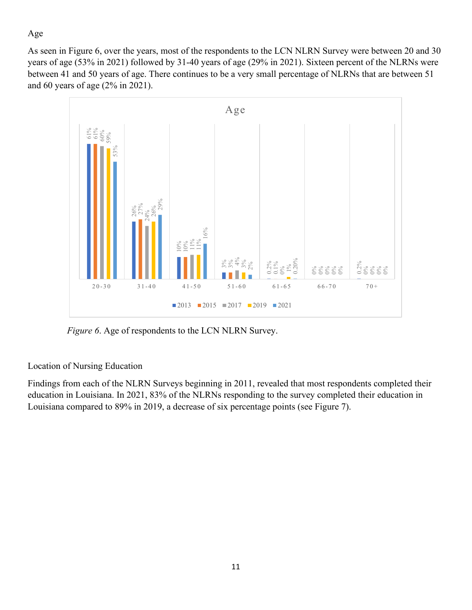# Age

As seen in Figure 6, over the years, most of the respondents to the LCN NLRN Survey were between 20 and 30 years of age (53% in 2021) followed by 31-40 years of age (29% in 2021). Sixteen percent of the NLRNs were between 41 and 50 years of age. There continues to be a very small percentage of NLRNs that are between 51 and 60 years of age (2% in 2021).



 *Figure 6*. Age of respondents to the LCN NLRN Survey.

# Location of Nursing Education

Findings from each of the NLRN Surveys beginning in 2011, revealed that most respondents completed their education in Louisiana. In 2021, 83% of the NLRNs responding to the survey completed their education in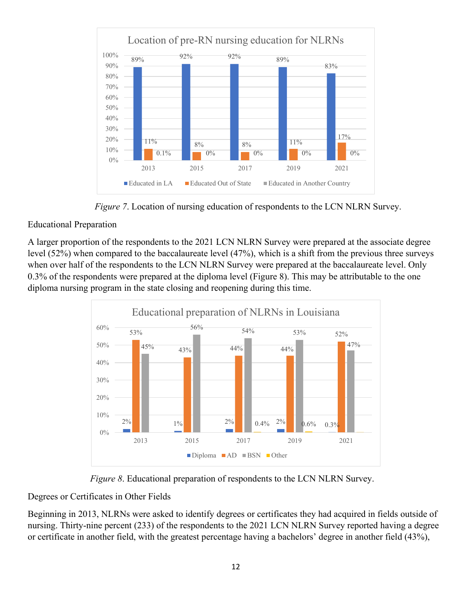

 *Figure 7*. Location of nursing education of respondents to the LCN NLRN Survey.

# Educational Preparation

A larger proportion of the respondents to the 2021 LCN NLRN Survey were prepared at the associate degree level (52%) when compared to the baccalaureate level (47%), which is a shift from the previous three surveys when over half of the respondents to the LCN NLRN Survey were prepared at the baccalaureate level. Only 0.3% of the respondents were prepared at the diploma level (Figure 8). This may be attributable to the one diploma nursing program in the state closing and reopening during this time.



 *Figure 8*. Educational preparation of respondents to the LCN NLRN Survey.

# Degrees or Certificates in Other Fields

Beginning in 2013, NLRNs were asked to identify degrees or certificates they had acquired in fields outside of nursing. Thirty-nine percent (233) of the respondents to the 2021 LCN NLRN Survey reported having a degree or certificate in another field, with the greatest percentage having a bachelors' degree in another field (43%),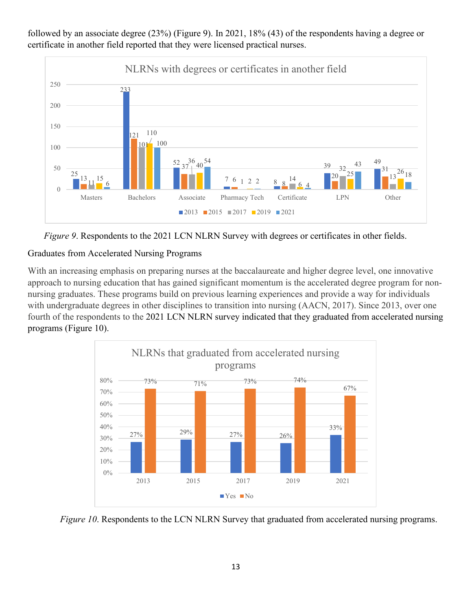followed by an associate degree (23%) (Figure 9). In 2021, 18% (43) of the respondents having a degree or certificate in another field reported that they were licensed practical nurses.





# Graduates from Accelerated Nursing Programs

With an increasing emphasis on preparing nurses at the baccalaureate and higher degree level, one innovative approach to nursing education that has gained significant momentum is the accelerated degree program for nonnursing graduates. These programs build on previous learning experiences and provide a way for individuals with undergraduate degrees in other disciplines to transition into nursing (AACN, 2017). Since 2013, over one fourth of the respondents to the 2021 LCN NLRN survey indicated that they graduated from accelerated nursing programs (Figure 10).



*Figure 10.* Respondents to the LCN NLRN Survey that graduated from accelerated nursing programs.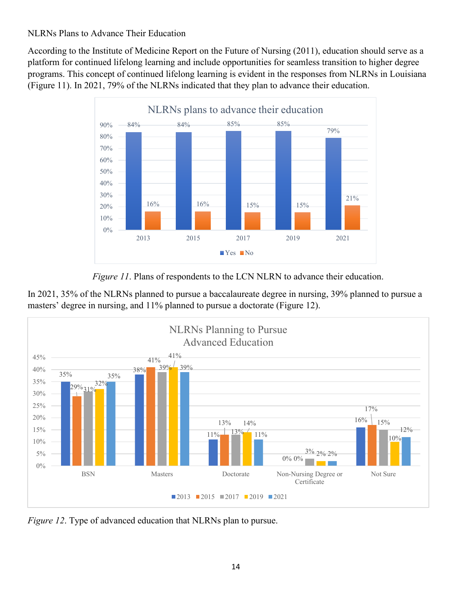# NLRNs Plans to Advance Their Education

According to the Institute of Medicine Report on the Future of Nursing (2011), education should serve as a platform for continued lifelong learning and include opportunities for seamless transition to higher degree programs. This concept of continued lifelong learning is evident in the responses from NLRNs in Louisiana (Figure 11). In 2021, 79% of the NLRNs indicated that they plan to advance their education.



*Figure 11*. Plans of respondents to the LCN NLRN to advance their education.





*Figure 12*. Type of advanced education that NLRNs plan to pursue.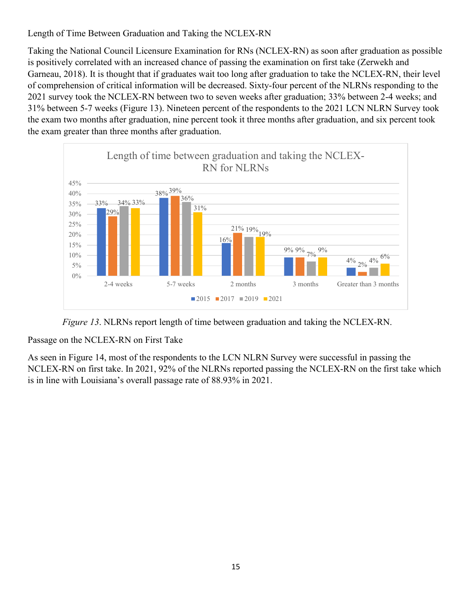# Length of Time Between Graduation and Taking the NCLEX-RN

Taking the National Council Licensure Examination for RNs (NCLEX-RN) as soon after graduation as possible is positively correlated with an increased chance of passing the examination on first take (Zerwekh and Garneau, 2018). It is thought that if graduates wait too long after graduation to take the NCLEX-RN, their level of comprehension of critical information will be decreased. Sixty-four percent of the NLRNs responding to the 2021 survey took the NCLEX-RN between two to seven weeks after graduation; 33% between 2-4 weeks; and 31% between 5-7 weeks (Figure 13). Nineteen percent of the respondents to the 2021 LCN NLRN Survey took the exam two months after graduation, nine percent took it three months after graduation, and six percent took the exam greater than three months after graduation.



 *Figure 13*. NLRNs report length of time between graduation and taking the NCLEX-RN.

Passage on the NCLEX-RN on First Take

As seen in Figure 14, most of the respondents to the LCN NLRN Survey were successful in passing the NCLEX-RN on first take. In 2021, 92% of the NLRNs reported passing the NCLEX-RN on the first take which is in line with Louisiana's overall passage rate of 88.93% in 2021.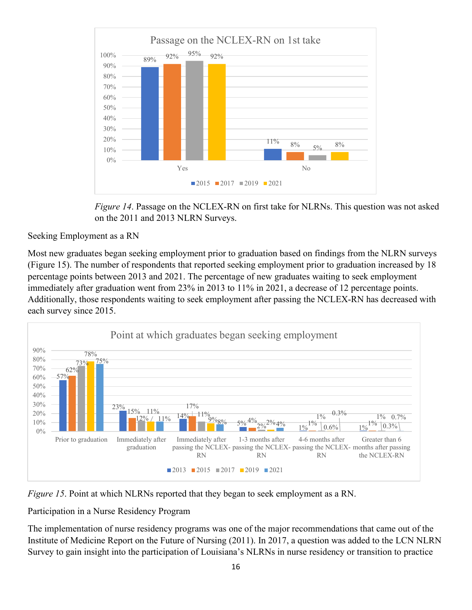

*Figure 14*. Passage on the NCLEX-RN on first take for NLRNs. This question was not asked on the 2011 and 2013 NLRN Surveys.

Seeking Employment as a RN

Most new graduates began seeking employment prior to graduation based on findings from the NLRN surveys (Figure 15). The number of respondents that reported seeking employment prior to graduation increased by 18 percentage points between 2013 and 2021. The percentage of new graduates waiting to seek employment immediately after graduation went from 23% in 2013 to 11% in 2021, a decrease of 12 percentage points. Additionally, those respondents waiting to seek employment after passing the NCLEX-RN has decreased with each survey since 2015.



*Figure 15*. Point at which NLRNs reported that they began to seek employment as a RN.

Participation in a Nurse Residency Program

The implementation of nurse residency programs was one of the major recommendations that came out of the Institute of Medicine Report on the Future of Nursing (2011). In 2017, a question was added to the LCN NLRN Survey to gain insight into the participation of Louisiana's NLRNs in nurse residency or transition to practice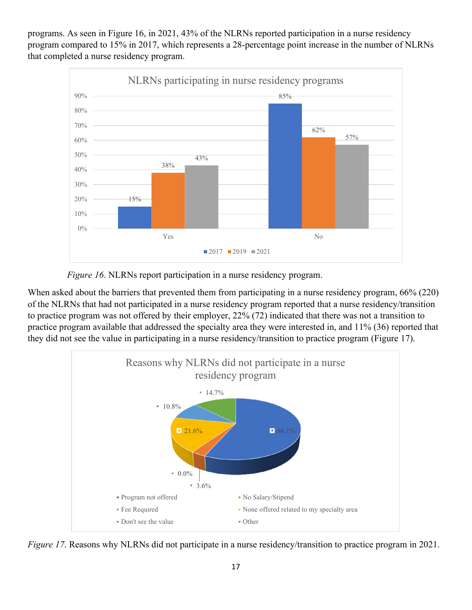programs. As seen in Figure 16, in 2021, 43% of the NLRNs reported participation in a nurse residency program compared to 15% in 2017, which represents a 28-percentage point increase in the number of NLRNs that completed a nurse residency program.



 *Figure 16*. NLRNs report participation in a nurse residency program.

When asked about the barriers that prevented them from participating in a nurse residency program, 66% (220) of the NLRNs that had not participated in a nurse residency program reported that a nurse residency/transition to practice program was not offered by their employer, 22% (72) indicated that there was not a transition to practice program available that addressed the specialty area they were interested in, and 11% (36) reported that they did not see the value in participating in a nurse residency/transition to practice program (Figure 17).



*Figure 17*. Reasons why NLRNs did not participate in a nurse residency/transition to practice program in 2021.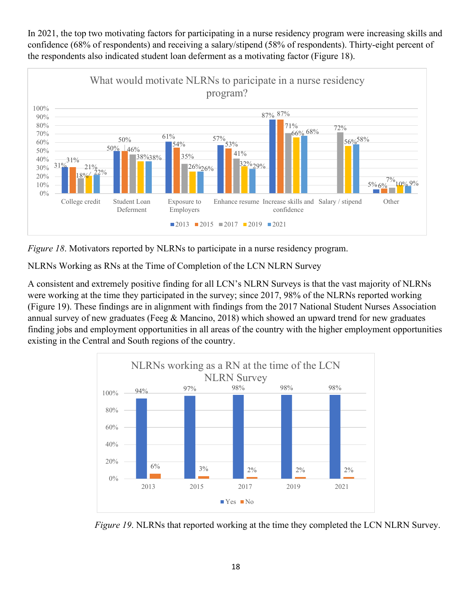In 2021, the top two motivating factors for participating in a nurse residency program were increasing skills and confidence (68% of respondents) and receiving a salary/stipend (58% of respondents). Thirty-eight percent of the respondents also indicated student loan deferment as a motivating factor (Figure 18).



*Figure 18*. Motivators reported by NLRNs to participate in a nurse residency program.

NLRNs Working as RNs at the Time of Completion of the LCN NLRN Survey

A consistent and extremely positive finding for all LCN's NLRN Surveys is that the vast majority of NLRNs were working at the time they participated in the survey; since 2017, 98% of the NLRNs reported working (Figure 19). These findings are in alignment with findings from the 2017 National Student Nurses Association annual survey of new graduates (Feeg & Mancino, 2018) which showed an upward trend for new graduates finding jobs and employment opportunities in all areas of the country with the higher employment opportunities existing in the Central and South regions of the country.



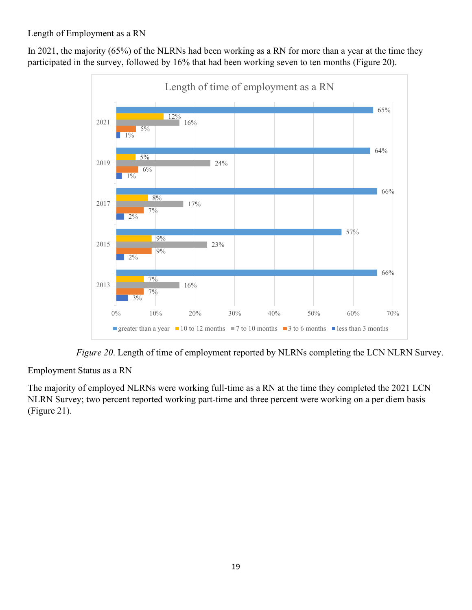# Length of Employment as a RN

In 2021, the majority (65%) of the NLRNs had been working as a RN for more than a year at the time they participated in the survey, followed by 16% that had been working seven to ten months (Figure 20).



 *Figure 20*. Length of time of employment reported by NLRNs completing the LCN NLRN Survey.

Employment Status as a RN

The majority of employed NLRNs were working full-time as a RN at the time they completed the 2021 LCN NLRN Survey; two percent reported working part-time and three percent were working on a per diem basis (Figure 21).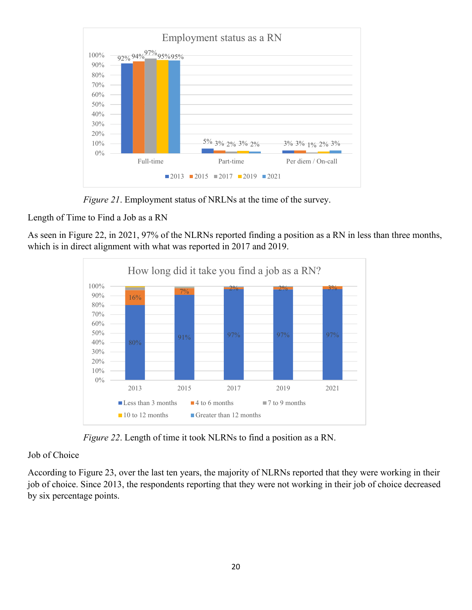

*Figure 21*. Employment status of NRLNs at the time of the survey.

Length of Time to Find a Job as a RN

As seen in Figure 22, in 2021, 97% of the NLRNs reported finding a position as a RN in less than three months, which is in direct alignment with what was reported in 2017 and 2019.



*Figure 22*. Length of time it took NLRNs to find a position as a RN.

#### Job of Choice

According to Figure 23, over the last ten years, the majority of NLRNs reported that they were working in their job of choice. Since 2013, the respondents reporting that they were not working in their job of choice decreased by six percentage points.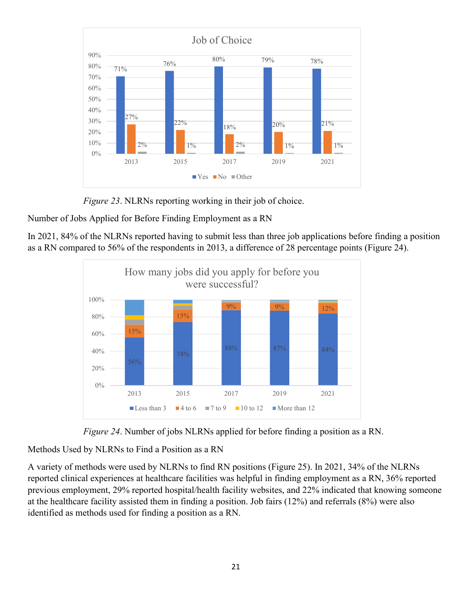

*Figure 23*. NLRNs reporting working in their job of choice.

Number of Jobs Applied for Before Finding Employment as a RN

In 2021, 84% of the NLRNs reported having to submit less than three job applications before finding a position as a RN compared to 56% of the respondents in 2013, a difference of 28 percentage points (Figure 24).





Methods Used by NLRNs to Find a Position as a RN

A variety of methods were used by NLRNs to find RN positions (Figure 25). In 2021, 34% of the NLRNs reported clinical experiences at healthcare facilities was helpful in finding employment as a RN, 36% reported previous employment, 29% reported hospital/health facility websites, and 22% indicated that knowing someone at the healthcare facility assisted them in finding a position. Job fairs (12%) and referrals (8%) were also identified as methods used for finding a position as a RN.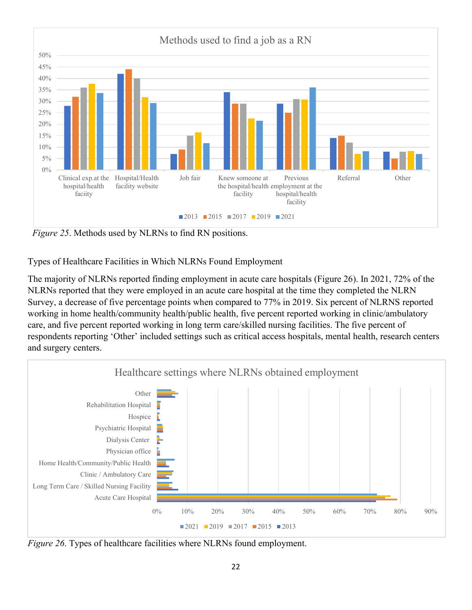

*Figure 25.* Methods used by NLRNs to find RN positions.

Types of Healthcare Facilities in Which NLRNs Found Employment

The majority of NLRNs reported finding employment in acute care hospitals (Figure 26). In 2021, 72% of the NLRNs reported that they were employed in an acute care hospital at the time they completed the NLRN Survey, a decrease of five percentage points when compared to 77% in 2019. Six percent of NLRNS reported working in home health/community health/public health, five percent reported working in clinic/ambulatory care, and five percent reported working in long term care/skilled nursing facilities. The five percent of respondents reporting 'Other' included settings such as critical access hospitals, mental health, research centers and surgery centers.



*Figure 26*. Types of healthcare facilities where NLRNs found employment.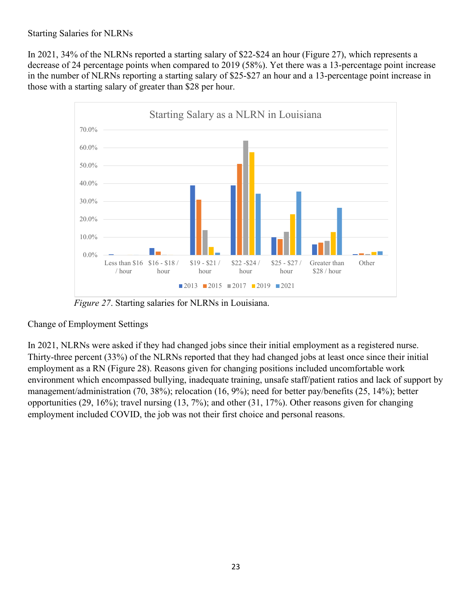## Starting Salaries for NLRNs

In 2021, 34% of the NLRNs reported a starting salary of \$22-\$24 an hour (Figure 27), which represents a decrease of 24 percentage points when compared to 2019 (58%). Yet there was a 13-percentage point increase in the number of NLRNs reporting a starting salary of \$25-\$27 an hour and a 13-percentage point increase in those with a starting salary of greater than \$28 per hour.



 *Figure 27*. Starting salaries for NLRNs in Louisiana.

# Change of Employment Settings

In 2021, NLRNs were asked if they had changed jobs since their initial employment as a registered nurse. Thirty-three percent (33%) of the NLRNs reported that they had changed jobs at least once since their initial employment as a RN (Figure 28). Reasons given for changing positions included uncomfortable work environment which encompassed bullying, inadequate training, unsafe staff/patient ratios and lack of support by management/administration (70, 38%); relocation (16, 9%); need for better pay/benefits (25, 14%); better opportunities (29, 16%); travel nursing (13, 7%); and other (31, 17%). Other reasons given for changing employment included COVID, the job was not their first choice and personal reasons.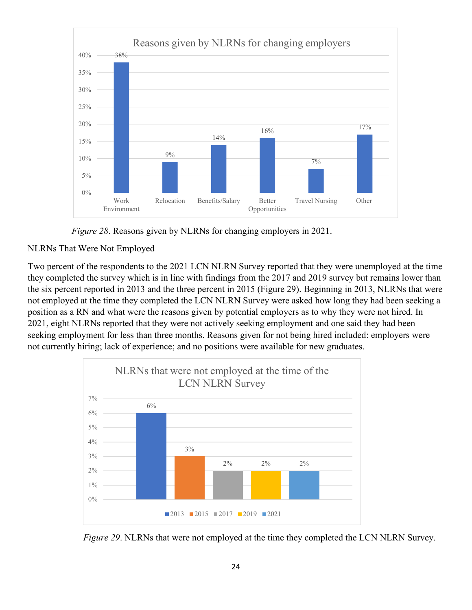

 *Figure 28*. Reasons given by NLRNs for changing employers in 2021.

# NLRNs That Were Not Employed

Two percent of the respondents to the 2021 LCN NLRN Survey reported that they were unemployed at the time they completed the survey which is in line with findings from the 2017 and 2019 survey but remains lower than the six percent reported in 2013 and the three percent in 2015 (Figure 29). Beginning in 2013, NLRNs that were not employed at the time they completed the LCN NLRN Survey were asked how long they had been seeking a position as a RN and what were the reasons given by potential employers as to why they were not hired. In 2021, eight NLRNs reported that they were not actively seeking employment and one said they had been seeking employment for less than three months. Reasons given for not being hired included: employers were not currently hiring; lack of experience; and no positions were available for new graduates.



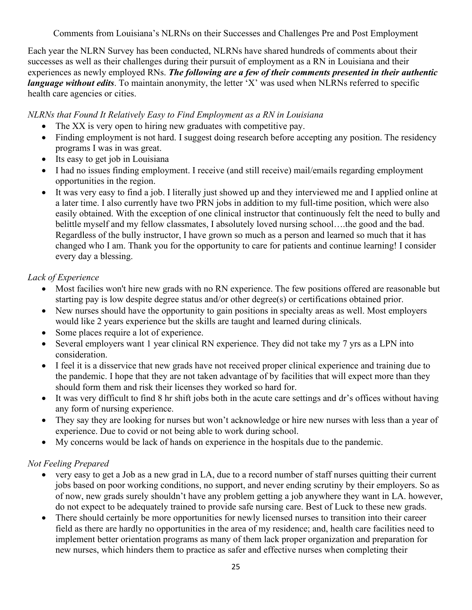Comments from Louisiana's NLRNs on their Successes and Challenges Pre and Post Employment

Each year the NLRN Survey has been conducted, NLRNs have shared hundreds of comments about their successes as well as their challenges during their pursuit of employment as a RN in Louisiana and their experiences as newly employed RNs. *The following are a few of their comments presented in their authentic language without edits*. To maintain anonymity, the letter 'X' was used when NLRNs referred to specific health care agencies or cities.

*NLRNs that Found It Relatively Easy to Find Employment as a RN in Louisiana*

- The XX is very open to hiring new graduates with competitive pay.
- Finding employment is not hard. I suggest doing research before accepting any position. The residency programs I was in was great.
- Its easy to get job in Louisiana
- I had no issues finding employment. I receive (and still receive) mail/emails regarding employment opportunities in the region.
- It was very easy to find a job. I literally just showed up and they interviewed me and I applied online at a later time. I also currently have two PRN jobs in addition to my full-time position, which were also easily obtained. With the exception of one clinical instructor that continuously felt the need to bully and belittle myself and my fellow classmates, I absolutely loved nursing school….the good and the bad. Regardless of the bully instructor, I have grown so much as a person and learned so much that it has changed who I am. Thank you for the opportunity to care for patients and continue learning! I consider every day a blessing.

# *Lack of Experience*

- Most facilies won't hire new grads with no RN experience. The few positions offered are reasonable but starting pay is low despite degree status and/or other degree(s) or certifications obtained prior.
- New nurses should have the opportunity to gain positions in specialty areas as well. Most employers would like 2 years experience but the skills are taught and learned during clinicals.
- Some places require a lot of experience.
- Several employers want 1 year clinical RN experience. They did not take my 7 yrs as a LPN into consideration.
- I feel it is a disservice that new grads have not received proper clinical experience and training due to the pandemic. I hope that they are not taken advantage of by facilities that will expect more than they should form them and risk their licenses they worked so hard for.
- It was very difficult to find 8 hr shift jobs both in the acute care settings and dr's offices without having any form of nursing experience.
- They say they are looking for nurses but won't acknowledge or hire new nurses with less than a year of experience. Due to covid or not being able to work during school.
- My concerns would be lack of hands on experience in the hospitals due to the pandemic.

# *Not Feeling Prepared*

- very easy to get a Job as a new grad in LA, due to a record number of staff nurses quitting their current jobs based on poor working conditions, no support, and never ending scrutiny by their employers. So as of now, new grads surely shouldn't have any problem getting a job anywhere they want in LA. however, do not expect to be adequately trained to provide safe nursing care. Best of Luck to these new grads.
- There should certainly be more opportunities for newly licensed nurses to transition into their career field as there are hardly no opportunities in the area of my residence; and, health care facilities need to implement better orientation programs as many of them lack proper organization and preparation for new nurses, which hinders them to practice as safer and effective nurses when completing their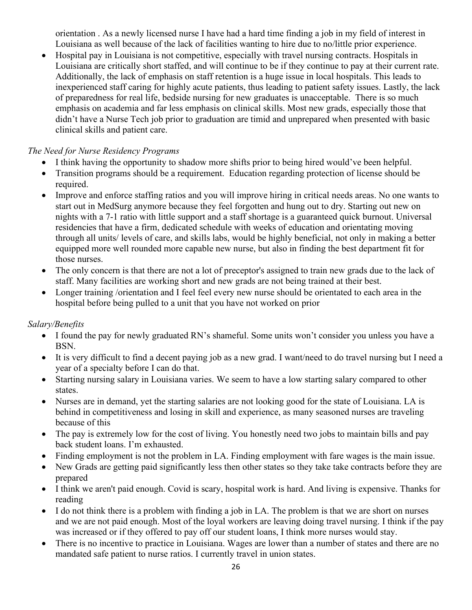orientation . As a newly licensed nurse I have had a hard time finding a job in my field of interest in Louisiana as well because of the lack of facilities wanting to hire due to no/little prior experience.

• Hospital pay in Louisiana is not competitive, especially with travel nursing contracts. Hospitals in Louisiana are critically short staffed, and will continue to be if they continue to pay at their current rate. Additionally, the lack of emphasis on staff retention is a huge issue in local hospitals. This leads to inexperienced staff caring for highly acute patients, thus leading to patient safety issues. Lastly, the lack of preparedness for real life, bedside nursing for new graduates is unacceptable. There is so much emphasis on academia and far less emphasis on clinical skills. Most new grads, especially those that didn't have a Nurse Tech job prior to graduation are timid and unprepared when presented with basic clinical skills and patient care.

## *The Need for Nurse Residency Programs*

- I think having the opportunity to shadow more shifts prior to being hired would've been helpful.
- Transition programs should be a requirement. Education regarding protection of license should be required.
- Improve and enforce staffing ratios and you will improve hiring in critical needs areas. No one wants to start out in MedSurg anymore because they feel forgotten and hung out to dry. Starting out new on nights with a 7-1 ratio with little support and a staff shortage is a guaranteed quick burnout. Universal residencies that have a firm, dedicated schedule with weeks of education and orientating moving through all units/ levels of care, and skills labs, would be highly beneficial, not only in making a better equipped more well rounded more capable new nurse, but also in finding the best department fit for those nurses.
- The only concern is that there are not a lot of preceptor's assigned to train new grads due to the lack of staff. Many facilities are working short and new grads are not being trained at their best.
- Longer training /orientation and I feel feel every new nurse should be orientated to each area in the hospital before being pulled to a unit that you have not worked on prior

# *Salary/Benefits*

- I found the pay for newly graduated RN's shameful. Some units won't consider you unless you have a BSN.
- It is very difficult to find a decent paying job as a new grad. I want/need to do travel nursing but I need a year of a specialty before I can do that.
- Starting nursing salary in Louisiana varies. We seem to have a low starting salary compared to other states.
- Nurses are in demand, yet the starting salaries are not looking good for the state of Louisiana. LA is behind in competitiveness and losing in skill and experience, as many seasoned nurses are traveling because of this
- The pay is extremely low for the cost of living. You honestly need two jobs to maintain bills and pay back student loans. I'm exhausted.
- Finding employment is not the problem in LA. Finding employment with fare wages is the main issue.
- New Grads are getting paid significantly less then other states so they take take contracts before they are prepared
- I think we aren't paid enough. Covid is scary, hospital work is hard. And living is expensive. Thanks for reading
- I do not think there is a problem with finding a job in LA. The problem is that we are short on nurses and we are not paid enough. Most of the loyal workers are leaving doing travel nursing. I think if the pay was increased or if they offered to pay off our student loans, I think more nurses would stay.
- There is no incentive to practice in Louisiana. Wages are lower than a number of states and there are no mandated safe patient to nurse ratios. I currently travel in union states.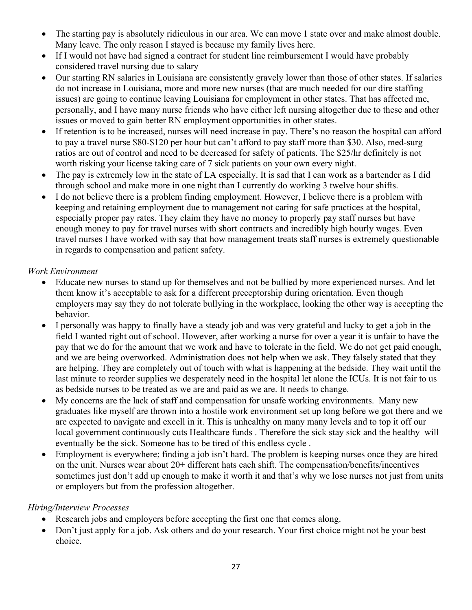- The starting pay is absolutely ridiculous in our area. We can move 1 state over and make almost double. Many leave. The only reason I stayed is because my family lives here.
- If I would not have had signed a contract for student line reimbursement I would have probably considered travel nursing due to salary
- Our starting RN salaries in Louisiana are consistently gravely lower than those of other states. If salaries do not increase in Louisiana, more and more new nurses (that are much needed for our dire staffing issues) are going to continue leaving Louisiana for employment in other states. That has affected me, personally, and I have many nurse friends who have either left nursing altogether due to these and other issues or moved to gain better RN employment opportunities in other states.
- If retention is to be increased, nurses will need increase in pay. There's no reason the hospital can afford to pay a travel nurse \$80-\$120 per hour but can't afford to pay staff more than \$30. Also, med-surg ratios are out of control and need to be decreased for safety of patients. The \$25/hr definitely is not worth risking your license taking care of 7 sick patients on your own every night.
- The pay is extremely low in the state of LA especially. It is sad that I can work as a bartender as I did through school and make more in one night than I currently do working 3 twelve hour shifts.
- I do not believe there is a problem finding employment. However, I believe there is a problem with keeping and retaining employment due to management not caring for safe practices at the hospital, especially proper pay rates. They claim they have no money to properly pay staff nurses but have enough money to pay for travel nurses with short contracts and incredibly high hourly wages. Even travel nurses I have worked with say that how management treats staff nurses is extremely questionable in regards to compensation and patient safety.

## *Work Environment*

- Educate new nurses to stand up for themselves and not be bullied by more experienced nurses. And let them know it's acceptable to ask for a different preceptorship during orientation. Even though employers may say they do not tolerate bullying in the workplace, looking the other way is accepting the behavior.
- I personally was happy to finally have a steady job and was very grateful and lucky to get a job in the field I wanted right out of school. However, after working a nurse for over a year it is unfair to have the pay that we do for the amount that we work and have to tolerate in the field. We do not get paid enough, and we are being overworked. Administration does not help when we ask. They falsely stated that they are helping. They are completely out of touch with what is happening at the bedside. They wait until the last minute to reorder supplies we desperately need in the hospital let alone the ICUs. It is not fair to us as bedside nurses to be treated as we are and paid as we are. It needs to change.
- My concerns are the lack of staff and compensation for unsafe working environments. Many new graduates like myself are thrown into a hostile work environment set up long before we got there and we are expected to navigate and excell in it. This is unhealthy on many many levels and to top it off our local government continuously cuts Healthcare funds . Therefore the sick stay sick and the healthy will eventually be the sick. Someone has to be tired of this endless cycle .
- Employment is everywhere; finding a job isn't hard. The problem is keeping nurses once they are hired on the unit. Nurses wear about 20+ different hats each shift. The compensation/benefits/incentives sometimes just don't add up enough to make it worth it and that's why we lose nurses not just from units or employers but from the profession altogether.

#### *Hiring/Interview Processes*

- Research jobs and employers before accepting the first one that comes along.
- Don't just apply for a job. Ask others and do your research. Your first choice might not be your best choice.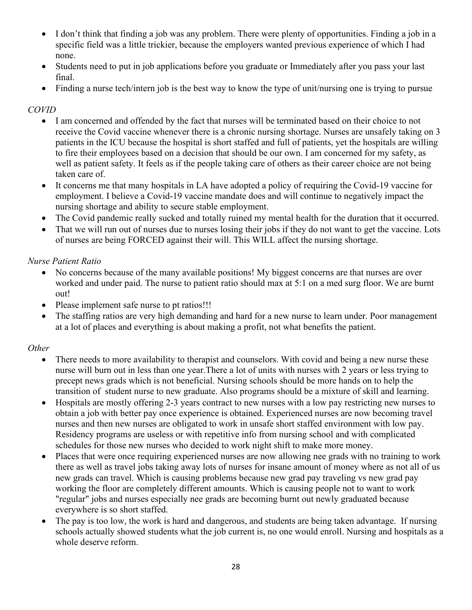- I don't think that finding a job was any problem. There were plenty of opportunities. Finding a job in a specific field was a little trickier, because the employers wanted previous experience of which I had none.
- Students need to put in job applications before you graduate or Immediately after you pass your last final.
- Finding a nurse tech/intern job is the best way to know the type of unit/nursing one is trying to pursue

# *COVID*

- I am concerned and offended by the fact that nurses will be terminated based on their choice to not receive the Covid vaccine whenever there is a chronic nursing shortage. Nurses are unsafely taking on 3 patients in the ICU because the hospital is short staffed and full of patients, yet the hospitals are willing to fire their employees based on a decision that should be our own. I am concerned for my safety, as well as patient safety. It feels as if the people taking care of others as their career choice are not being taken care of.
- It concerns me that many hospitals in LA have adopted a policy of requiring the Covid-19 vaccine for employment. I believe a Covid-19 vaccine mandate does and will continue to negatively impact the nursing shortage and ability to secure stable employment.
- The Covid pandemic really sucked and totally ruined my mental health for the duration that it occurred.
- That we will run out of nurses due to nurses losing their jobs if they do not want to get the vaccine. Lots of nurses are being FORCED against their will. This WILL affect the nursing shortage.

## *Nurse Patient Ratio*

- No concerns because of the many available positions! My biggest concerns are that nurses are over worked and under paid. The nurse to patient ratio should max at 5:1 on a med surg floor. We are burnt out!
- Please implement safe nurse to pt ratios!!!
- The staffing ratios are very high demanding and hard for a new nurse to learn under. Poor management at a lot of places and everything is about making a profit, not what benefits the patient.

# *Other*

- There needs to more availability to therapist and counselors. With covid and being a new nurse these nurse will burn out in less than one year.There a lot of units with nurses with 2 years or less trying to precept news grads which is not beneficial. Nursing schools should be more hands on to help the transition of student nurse to new graduate. Also programs should be a mixture of skill and learning.
- Hospitals are mostly offering 2-3 years contract to new nurses with a low pay restricting new nurses to obtain a job with better pay once experience is obtained. Experienced nurses are now becoming travel nurses and then new nurses are obligated to work in unsafe short staffed environment with low pay. Residency programs are useless or with repetitive info from nursing school and with complicated schedules for those new nurses who decided to work night shift to make more money.
- Places that were once requiring experienced nurses are now allowing nee grads with no training to work there as well as travel jobs taking away lots of nurses for insane amount of money where as not all of us new grads can travel. Which is causing problems because new grad pay traveling vs new grad pay working the floor are completely different amounts. Which is causing people not to want to work "regular" jobs and nurses especially nee grads are becoming burnt out newly graduated because everywhere is so short staffed.
- The pay is too low, the work is hard and dangerous, and students are being taken advantage. If nursing schools actually showed students what the job current is, no one would enroll. Nursing and hospitals as a whole deserve reform.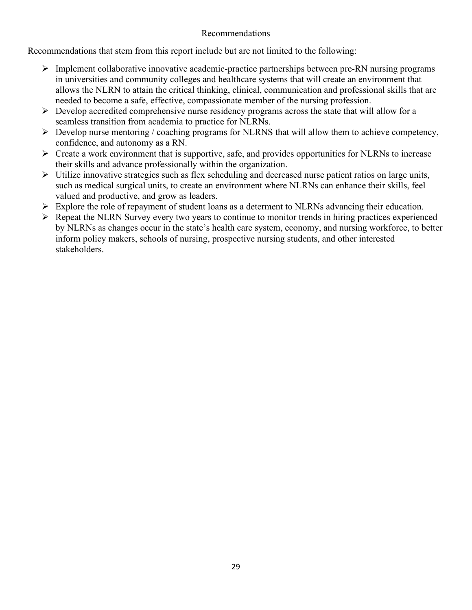#### Recommendations

Recommendations that stem from this report include but are not limited to the following:

- $\triangleright$  Implement collaborative innovative academic-practice partnerships between pre-RN nursing programs in universities and community colleges and healthcare systems that will create an environment that allows the NLRN to attain the critical thinking, clinical, communication and professional skills that are needed to become a safe, effective, compassionate member of the nursing profession.
- $\triangleright$  Develop accredited comprehensive nurse residency programs across the state that will allow for a seamless transition from academia to practice for NLRNs.
- $\triangleright$  Develop nurse mentoring / coaching programs for NLRNS that will allow them to achieve competency, confidence, and autonomy as a RN.
- $\triangleright$  Create a work environment that is supportive, safe, and provides opportunities for NLRNs to increase their skills and advance professionally within the organization.
- $\triangleright$  Utilize innovative strategies such as flex scheduling and decreased nurse patient ratios on large units, such as medical surgical units, to create an environment where NLRNs can enhance their skills, feel valued and productive, and grow as leaders.
- $\triangleright$  Explore the role of repayment of student loans as a determent to NLRNs advancing their education.
- $\triangleright$  Repeat the NLRN Survey every two years to continue to monitor trends in hiring practices experienced by NLRNs as changes occur in the state's health care system, economy, and nursing workforce, to better inform policy makers, schools of nursing, prospective nursing students, and other interested stakeholders.